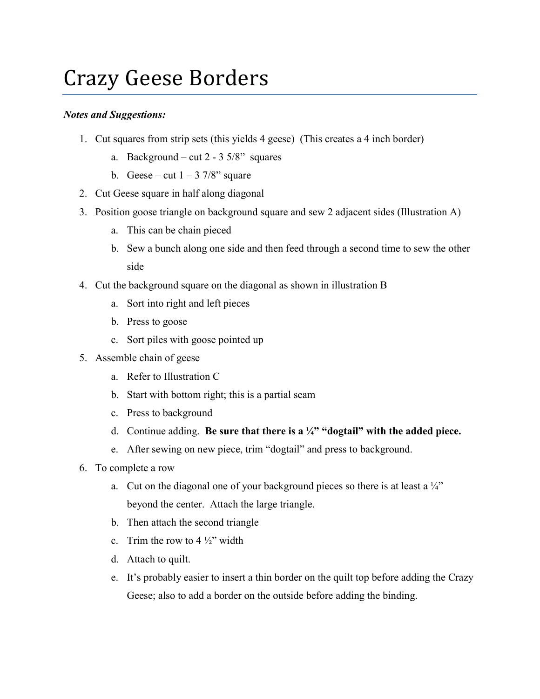## Crazy Geese Borders

## *Notes and Suggestions:*

- 1. Cut squares from strip sets (this yields 4 geese) (This creates a 4 inch border)
	- a. Background cut  $2 3.5/8$ " squares
	- b. Geese cut  $1 3$  7/8" square
- 2. Cut Geese square in half along diagonal
- 3. Position goose triangle on background square and sew 2 adjacent sides (Illustration A)
	- a. This can be chain pieced
	- b. Sew a bunch along one side and then feed through a second time to sew the other side
- 4. Cut the background square on the diagonal as shown in illustration B
	- a. Sort into right and left pieces
	- b. Press to goose
	- c. Sort piles with goose pointed up
- 5. Assemble chain of geese
	- a. Refer to Illustration C
	- b. Start with bottom right; this is a partial seam
	- c. Press to background
	- d. Continue adding. **Be sure that there is a ¼" "dogtail" with the added piece.**
	- e. After sewing on new piece, trim "dogtail" and press to background.
- 6. To complete a row
	- a. Cut on the diagonal one of your background pieces so there is at least a  $\frac{1}{4}$ beyond the center. Attach the large triangle.
	- b. Then attach the second triangle
	- c. Trim the row to  $4\frac{1}{2}$ " width
	- d. Attach to quilt.
	- e. It's probably easier to insert a thin border on the quilt top before adding the Crazy Geese; also to add a border on the outside before adding the binding.